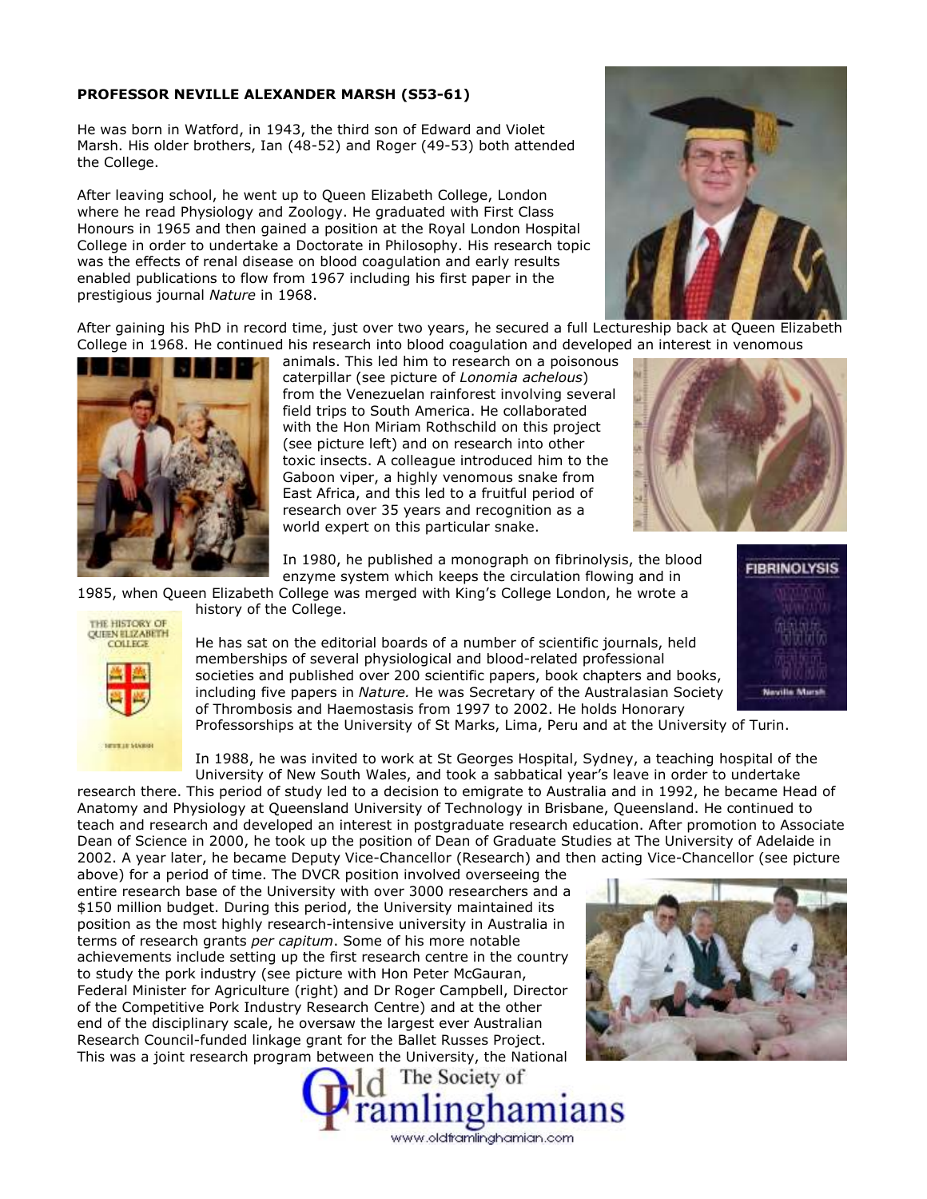## **PROFESSOR NEVILLE ALEXANDER MARSH (S53-61)**

He was born in Watford, in 1943, the third son of Edward and Violet Marsh. His older brothers, Ian (48-52) and Roger (49-53) both attended the College.

After leaving school, he went up to Queen Elizabeth College, London where he read Physiology and Zoology. He graduated with First Class Honours in 1965 and then gained a position at the Royal London Hospital College in order to undertake a Doctorate in Philosophy. His research topic was the effects of renal disease on blood coagulation and early results enabled publications to flow from 1967 including his first paper in the prestigious journal *Nature* in 1968.

After gaining his PhD in record time, just over two years, he secured a full Lectureship back at Queen Elizabeth College in 1968. He continued his research into blood coagulation and developed an interest in venomous



animals. This led him to research on a poisonous caterpillar (see picture of *Lonomia achelous*) from the Venezuelan rainforest involving several field trips to South America. He collaborated with the Hon Miriam Rothschild on this project (see picture left) and on research into other toxic insects. A colleague introduced him to the Gaboon viper, a highly venomous snake from East Africa, and this led to a fruitful period of research over 35 years and recognition as a world expert on this particular snake.

In 1980, he published a monograph on fibrinolysis, the blood enzyme system which keeps the circulation flowing and in

1985, when Queen Elizabeth College was merged with King's College London, he wrote a history of the College.

THE HISTORY OF **OUTEN ELIZABETH** COLLEGE

**BEETLE SUGGIS** 

He has sat on the editorial boards of a number of scientific journals, held memberships of several physiological and blood-related professional societies and published over 200 scientific papers, book chapters and books, including five papers in *Nature.* He was Secretary of the Australasian Society of Thrombosis and Haemostasis from 1997 to 2002. He holds Honorary



Professorships at the University of St Marks, Lima, Peru and at the University of Turin.

In 1988, he was invited to work at St Georges Hospital, Sydney, a teaching hospital of the University of New South Wales, and took a sabbatical year's leave in order to undertake research there. This period of study led to a decision to emigrate to Australia and in 1992, he became Head of

Anatomy and Physiology at Queensland University of Technology in Brisbane, Queensland. He continued to teach and research and developed an interest in postgraduate research education. After promotion to Associate Dean of Science in 2000, he took up the position of Dean of Graduate Studies at The University of Adelaide in 2002. A year later, he became Deputy Vice-Chancellor (Research) and then acting Vice-Chancellor (see picture

above) for a period of time. The DVCR position involved overseeing the entire research base of the University with over 3000 researchers and a \$150 million budget. During this period, the University maintained its position as the most highly research-intensive university in Australia in terms of research grants *per capitum*. Some of his more notable achievements include setting up the first research centre in the country to study the pork industry (see picture with Hon Peter McGauran, Federal Minister for Agriculture (right) and Dr Roger Campbell, Director of the Competitive Pork Industry Research Centre) and at the other end of the disciplinary scale, he oversaw the largest ever Australian Research Council-funded linkage grant for the Ballet Russes Project. This was a joint research program between the University, the National





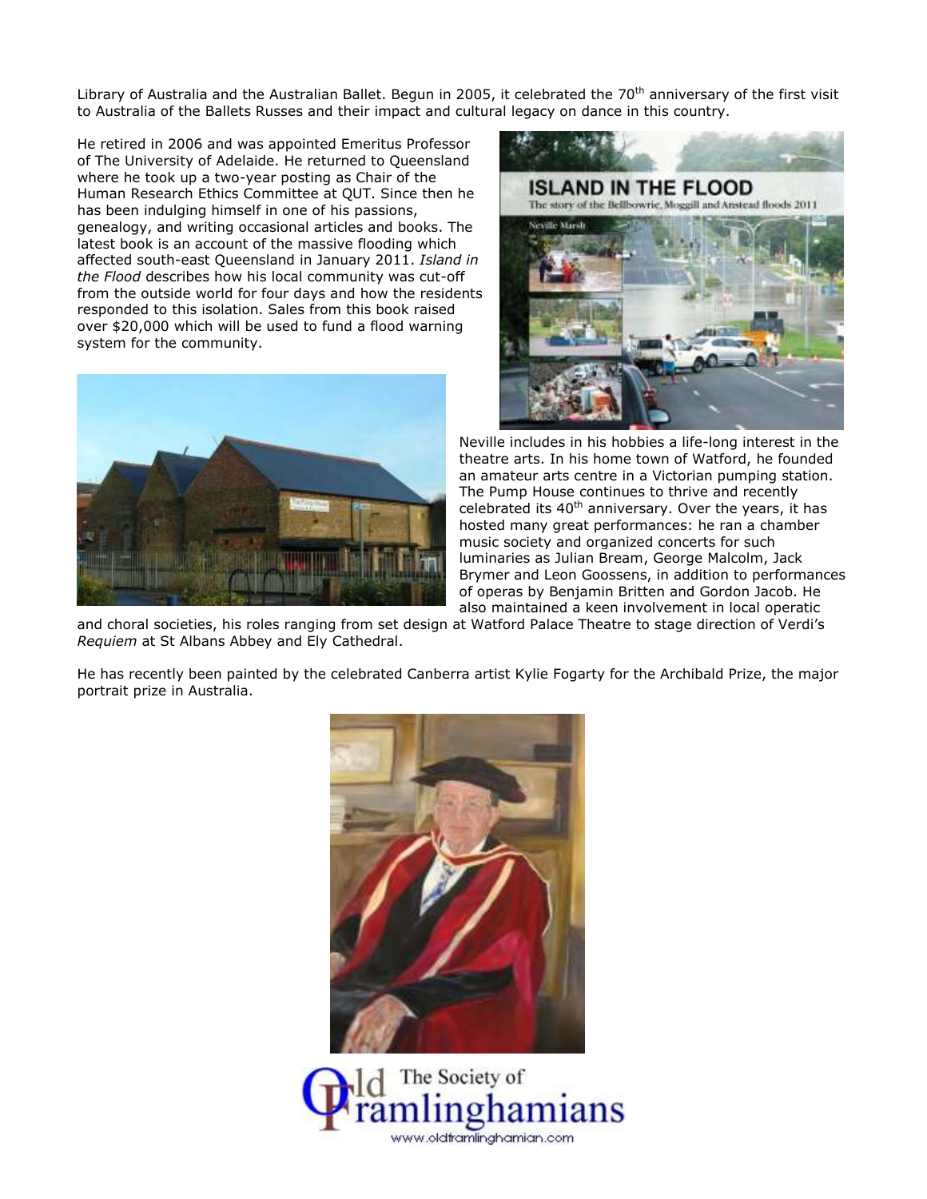Library of Australia and the Australian Ballet. Begun in 2005, it celebrated the  $70<sup>th</sup>$  anniversary of the first visit to Australia of the Ballets Russes and their impact and cultural legacy on dance in this country.

He retired in 2006 and was appointed Emeritus Professor of The University of Adelaide. He returned to Queensland where he took up a two-year posting as Chair of the Human Research Ethics Committee at QUT. Since then he has been indulging himself in one of his passions, genealogy, and writing occasional articles and books. The latest book is an account of the massive flooding which affected south-east Queensland in January 2011. *Island in the Flood* describes how his local community was cut-off from the outside world for four days and how the residents responded to this isolation. Sales from this book raised over \$20,000 which will be used to fund a flood warning system for the community.





Neville includes in his hobbies a life-long interest in the theatre arts. In his home town of Watford, he founded an amateur arts centre in a Victorian pumping station. The Pump House continues to thrive and recently celebrated its  $40<sup>th</sup>$  anniversary. Over the years, it has hosted many great performances: he ran a chamber music society and organized concerts for such luminaries as Julian Bream, George Malcolm, Jack Brymer and Leon Goossens, in addition to performances of operas by Benjamin Britten and Gordon Jacob. He also maintained a keen involvement in local operatic

and choral societies, his roles ranging from set design at Watford Palace Theatre to stage direction of Verdi's *Requiem* at St Albans Abbey and Ely Cathedral.

He has recently been painted by the celebrated Canberra artist Kylie Fogarty for the Archibald Prize, the major portrait prize in Australia.